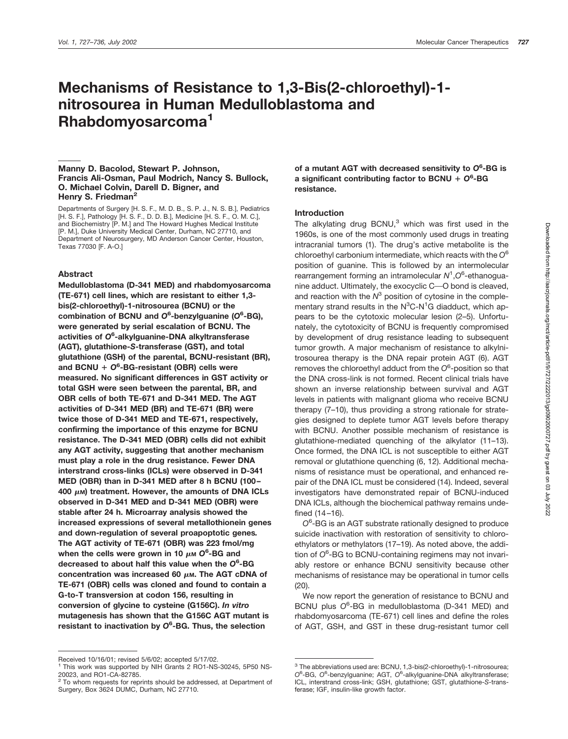# **Mechanisms of Resistance to 1,3-Bis(2-chloroethyl)-1 nitrosourea in Human Medulloblastoma and Rhabdomyosarcoma1**

## **Manny D. Bacolod, Stewart P. Johnson, Francis Ali-Osman, Paul Modrich, Nancy S. Bullock, O. Michael Colvin, Darell D. Bigner, and Henry S. Friedman2**

Departments of Surgery [H. S. F., M. D. B., S. P. J., N. S. B.], Pediatrics [H. S. F.], Pathology [H. S. F., D. D. B.], Medicine [H. S. F., O. M. C.], and Biochemistry [P. M.] and The Howard Hughes Medical Institute [P. M.], Duke University Medical Center, Durham, NC 27710, and Department of Neurosurgery, MD Anderson Cancer Center, Houston, Texas 77030 [F. A-O.]

# **Abstract**

**Medulloblastoma (D-341 MED) and rhabdomyosarcoma (TE-671) cell lines, which are resistant to either 1,3 bis(2-chloroethyl)-1-nitrosourea (BCNU) or the combination of BCNU and** *O***<sup>6</sup> -benzylguanine (***O***<sup>6</sup> -BG), were generated by serial escalation of BCNU. The activities of** *O***<sup>6</sup> -alkylguanine-DNA alkyltransferase (AGT), glutathione-***S***-transferase (GST), and total glutathione (GSH) of the parental, BCNU-resistant (BR), and BCNU** *O***<sup>6</sup> -BG-resistant (OBR) cells were measured. No significant differences in GST activity or total GSH were seen between the parental, BR, and OBR cells of both TE-671 and D-341 MED. The AGT activities of D-341 MED (BR) and TE-671 (BR) were twice those of D-341 MED and TE-671, respectively, confirming the importance of this enzyme for BCNU resistance. The D-341 MED (OBR) cells did not exhibit any AGT activity, suggesting that another mechanism must play a role in the drug resistance. Fewer DNA interstrand cross-links (ICLs) were observed in D-341 MED (OBR) than in D-341 MED after 8 h BCNU (100–** 400 μ**M) treatment. However, the amounts of DNA** ICLs **observed in D-341 MED and D-341 MED (OBR) were stable after 24 h. Microarray analysis showed the increased expressions of several metallothionein genes and down-regulation of several proapoptotic genes***.* **The AGT activity of TE-671 (OBR) was 223 fmol/mg** when the cells were grown in 10  $\mu$ м O<sup>6</sup>-BG and **decreased to about half this value when the** *O***<sup>6</sup> -BG concentration was increased 60 μm. The AGT cDNA of TE-671 (OBR) cells was cloned and found to contain a G-to-T transversion at codon 156, resulting in conversion of glycine to cysteine (G156C).** *In vitro* **mutagenesis has shown that the G156C AGT mutant is resistant to inactivation by** *O***<sup>6</sup> -BG. Thus, the selection**

**of a mutant AGT with decreased sensitivity to** *O***<sup>6</sup> -BG is a significant contributing factor to BCNU** *O***<sup>6</sup> -BG resistance.**

# **Introduction**

The alkylating drug  $BCNU<sub>3</sub>$  which was first used in the 1960s, is one of the most commonly used drugs in treating intracranial tumors (1). The drug's active metabolite is the chloroethyl carbonium intermediate, which reacts with the *O*<sup>6</sup> position of guanine. This is followed by an intermolecular rearrangement forming an intramolecular *N*<sup>1</sup> ,*O*<sup>6</sup> -ethanoguanine adduct. Ultimately, the exocyclic C-O bond is cleaved, and reaction with the  $N^3$  position of cytosine in the complementary strand results in the  $N^3C$ -N<sup>1</sup>G diadduct, which appears to be the cytotoxic molecular lesion (2–5). Unfortunately, the cytotoxicity of BCNU is frequently compromised by development of drug resistance leading to subsequent tumor growth. A major mechanism of resistance to alkylnitrosourea therapy is the DNA repair protein AGT (6). AGT removes the chloroethyl adduct from the *O*<sup>6</sup> -position so that the DNA cross-link is not formed. Recent clinical trials have shown an inverse relationship between survival and AGT levels in patients with malignant glioma who receive BCNU therapy (7–10), thus providing a strong rationale for strategies designed to deplete tumor AGT levels before therapy with BCNU. Another possible mechanism of resistance is glutathione-mediated quenching of the alkylator (11–13). Once formed, the DNA ICL is not susceptible to either AGT removal or glutathione quenching (6, 12). Additional mechanisms of resistance must be operational, and enhanced repair of the DNA ICL must be considered (14). Indeed, several investigators have demonstrated repair of BCNU-induced DNA ICLs, although the biochemical pathway remains undefined (14–16).

*O*6 -BG is an AGT substrate rationally designed to produce suicide inactivation with restoration of sensitivity to chloroethylators or methylators (17–19). As noted above, the addition of *O*<sup>6</sup> -BG to BCNU-containing regimens may not invariably restore or enhance BCNU sensitivity because other mechanisms of resistance may be operational in tumor cells (20).

We now report the generation of resistance to BCNU and BCNU plus *O*<sup>6</sup> -BG in medulloblastoma (D-341 MED) and rhabdomyosarcoma (TE-671) cell lines and define the roles of AGT, GSH, and GST in these drug-resistant tumor cell

Received 10/16/01; revised 5/6/02; accepted 5/17/02.

<sup>&</sup>lt;sup>1</sup> This work was supported by NIH Grants 2 RO1-NS-30245, 5P50 NS-20023, and RO1-CA-82785.

<sup>&</sup>lt;sup>2</sup> To whom requests for reprints should be addressed, at Department of Surgery, Box 3624 DUMC, Durham, NC 27710.

<sup>&</sup>lt;sup>3</sup> The abbreviations used are: BCNU, 1,3-bis(2-chloroethyl)-1-nitrosourea; O<sup>6</sup>-BG, O<sup>6</sup>-benzylguanine; AGT, O<sup>6</sup>-alkylguanine-DNA alkyltransferase; ICL, interstrand cross-link; GSH, glutathione; GST, glutathione-*S*-transferase; IGF, insulin-like growth factor.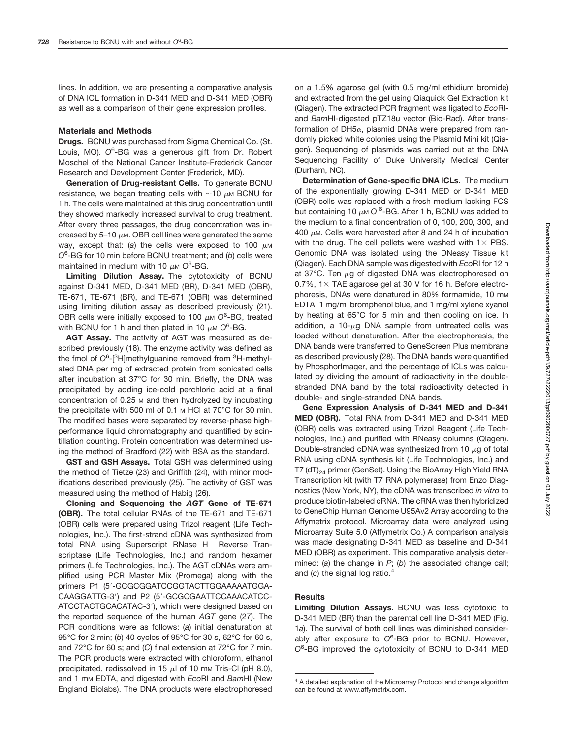lines. In addition, we are presenting a comparative analysis of DNA ICL formation in D-341 MED and D-341 MED (OBR) as well as a comparison of their gene expression profiles.

#### **Materials and Methods**

**Drugs.** BCNU was purchased from Sigma Chemical Co. (St. Louis, MO). O<sup>6</sup>-BG was a generous gift from Dr. Robert Moschel of the National Cancer Institute-Frederick Cancer Research and Development Center (Frederick, MD).

**Generation of Drug-resistant Cells.** To generate BCNU resistance, we began treating cells with  $\sim$ 10  $\mu$ M BCNU for 1 h. The cells were maintained at this drug concentration until they showed markedly increased survival to drug treatment. After every three passages, the drug concentration was increased by 5-10  $\mu$ m. OBR cell lines were generated the same way, except that: (a) the cells were exposed to 100  $\mu$ M *O*6 -BG for 10 min before BCNU treatment; and (*b*) cells were maintained in medium with 10  $\mu$ <sub>M</sub> O<sup>6</sup>-BG.

**Limiting Dilution Assay.** The cytotoxicity of BCNU against D-341 MED, D-341 MED (BR), D-341 MED (OBR), TE-671, TE-671 (BR), and TE-671 (OBR) was determined using limiting dilution assay as described previously (21). OBR cells were initially exposed to 100  $\mu$ M O<sup>6</sup>-BG, treated with BCNU for 1 h and then plated in 10  $\mu$ m O<sup>6</sup>-BG.

**AGT Assay.** The activity of AGT was measured as described previously (18). The enzyme activity was defined as the fmol of O<sup>6</sup>-[<sup>3</sup>H]methylguanine removed from <sup>3</sup>H-methylated DNA per mg of extracted protein from sonicated cells after incubation at 37°C for 30 min. Briefly, the DNA was precipitated by adding ice-cold perchloric acid at a final concentration of 0.25 <sub>M</sub> and then hydrolyzed by incubating the precipitate with 500 ml of 0.1  $\mu$  HCl at 70 $\degree$ C for 30 min. The modified bases were separated by reverse-phase highperformance liquid chromatography and quantified by scintillation counting. Protein concentration was determined using the method of Bradford (22) with BSA as the standard.

**GST and GSH Assays.** Total GSH was determined using the method of Tietze (23) and Griffith (24), with minor modifications described previously (25). The activity of GST was measured using the method of Habig (26).

**Cloning and Sequencing the** *AGT* **Gene of TE-671 (OBR).** The total cellular RNAs of the TE-671 and TE-671 (OBR) cells were prepared using Trizol reagent (Life Technologies, Inc.). The first-strand cDNA was synthesized from total RNA using Superscript RNase H<sup>-</sup> Reverse Transcriptase (Life Technologies, Inc.) and random hexamer primers (Life Technologies, Inc.). The AGT cDNAs were amplified using PCR Master Mix (Promega) along with the primers P1 (5'-GCGCGGATCCGGTACTTGGAAAAATGGA-CAAGGATTG-3) and P2 (5-GCGCGAATTCCAAACATCC-ATCCTACTGCACATAC-3), which were designed based on the reported sequence of the human *AGT* gene (27). The PCR conditions were as follows: (*a*) initial denaturation at 95°C for 2 min; (*b*) 40 cycles of 95°C for 30 s, 62°C for 60 s, and 72°C for 60 s; and (*C*) final extension at 72°C for 7 min. The PCR products were extracted with chloroform, ethanol precipitated, redissolved in 15  $\mu$ l of 10 mm Tris-Cl (pH 8.0), and 1 mM EDTA, and digested with *Eco*RI and *Bam*HI (New England Biolabs). The DNA products were electrophoresed

on a 1.5% agarose gel (with 0.5 mg/ml ethidium bromide) and extracted from the gel using Qiaquick Gel Extraction kit (Qiagen). The extracted PCR fragment was ligated to *Eco*RIand *Bam*HI-digested pTZ18u vector (Bio-Rad). After transformation of DH5 $\alpha$ , plasmid DNAs were prepared from randomly picked white colonies using the Plasmid Mini kit (Qiagen). Sequencing of plasmids was carried out at the DNA Sequencing Facility of Duke University Medical Center (Durham, NC).

**Determination of Gene-specific DNA ICLs.** The medium of the exponentially growing D-341 MED or D-341 MED (OBR) cells was replaced with a fresh medium lacking FCS but containing 10  $\mu$ м O <sup>6</sup>-BG. After 1 h, BCNU was added to the medium to a final concentration of 0, 100, 200, 300, and 400  $\mu$ m. Cells were harvested after 8 and 24 h of incubation with the drug. The cell pellets were washed with  $1\times$  PBS. Genomic DNA was isolated using the DNeasy Tissue kit (Qiagen). Each DNA sample was digested with *Eco*RI for 12 h at 37 $\degree$ C. Ten  $\mu$ g of digested DNA was electrophoresed on 0.7%,  $1 \times$  TAE agarose gel at 30 V for 16 h. Before electrophoresis, DNAs were denatured in 80% formamide, 10 mm EDTA, 1 mg/ml bromphenol blue, and 1 mg/ml xylene xyanol by heating at 65°C for 5 min and then cooling on ice. In addition, a 10- $\mu$ g DNA sample from untreated cells was loaded without denaturation. After the electrophoresis, the DNA bands were transferred to GeneScreen Plus membrane as described previously (28). The DNA bands were quantified by PhosphorImager, and the percentage of ICLs was calculated by dividing the amount of radioactivity in the doublestranded DNA band by the total radioactivity detected in double- and single-stranded DNA bands.

**Gene Expression Analysis of D-341 MED and D-341 MED (OBR).** Total RNA from D-341 MED and D-341 MED (OBR) cells was extracted using Trizol Reagent (Life Technologies, Inc.) and purified with RNeasy columns (Qiagen). Double-stranded cDNA was synthesized from 10  $\mu$ g of total RNA using cDNA synthesis kit (Life Technologies, Inc.) and T7 ( $dT_{24}$  primer (GenSet). Using the BioArray High Yield RNA Transcription kit (with T7 RNA polymerase) from Enzo Diagnostics (New York, NY), the cDNA was transcribed *in vitro* to produce biotin-labeled cRNA. The cRNA was then hybridized to GeneChip Human Genome U95Av2 Array according to the Affymetrix protocol. Microarray data were analyzed using Microarray Suite 5.0 (Affymetrix Co.) A comparison analysis was made designating D-341 MED as baseline and D-341 MED (OBR) as experiment. This comparative analysis determined: (*a*) the change in *P*; (*b*) the associated change call; and (*c*) the signal log ratio.4

## **Results**

**Limiting Dilution Assays.** BCNU was less cytotoxic to D-341 MED (BR) than the parental cell line D-341 MED (Fig. 1*a*). The survival of both cell lines was diminished considerably after exposure to *O*<sup>6</sup> -BG prior to BCNU. However, *O*6 -BG improved the cytotoxicity of BCNU to D-341 MED

<sup>&</sup>lt;sup>4</sup> A detailed explanation of the Microarray Protocol and change algorithm can be found at www.affymetrix.com.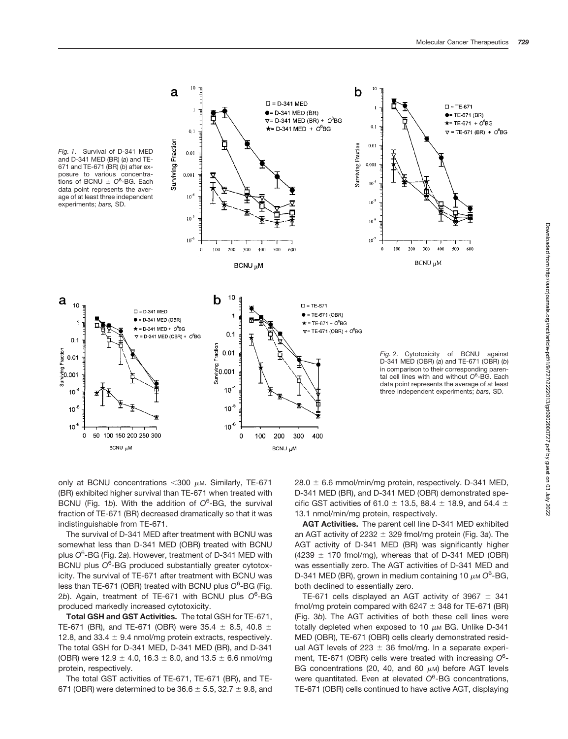

only at BCNU concentrations  $<$  300  $\mu$ m. Similarly, TE-671 (BR) exhibited higher survival than TE-671 when treated with BCNU (Fig. 1*b*). With the addition of *O*<sup>6</sup> -BG, the survival fraction of TE-671 (BR) decreased dramatically so that it was indistinguishable from TE-671.

The survival of D-341 MED after treatment with BCNU was somewhat less than D-341 MED (OBR) treated with BCNU plus *O*<sup>6</sup> -BG (Fig. 2*a*). However, treatment of D-341 MED with BCNU plus *O*<sup>6</sup> -BG produced substantially greater cytotoxicity. The survival of TE-671 after treatment with BCNU was less than TE-671 (OBR) treated with BCNU plus O<sup>6</sup>-BG (Fig. 2*b*). Again, treatment of TE-671 with BCNU plus *O*<sup>6</sup> -BG produced markedly increased cytotoxicity.

**Total GSH and GST Activities.** The total GSH for TE-671, TE-671 (BR), and TE-671 (OBR) were 35.4  $\pm$  8.5, 40.8  $\pm$ 12.8, and 33.4  $\pm$  9.4 nmol/mg protein extracts, respectively. The total GSH for D-341 MED, D-341 MED (BR), and D-341 (OBR) were  $12.9 \pm 4.0$ ,  $16.3 \pm 8.0$ , and  $13.5 \pm 6.6$  nmol/mg protein, respectively.

The total GST activities of TE-671, TE-671 (BR), and TE-671 (OBR) were determined to be  $36.6 \pm 5.5$ ,  $32.7 \pm 9.8$ , and  $28.0 \pm 6.6$  mmol/min/mg protein, respectively. D-341 MED, D-341 MED (BR), and D-341 MED (OBR) demonstrated specific GST activities of 61.0  $\pm$  13.5, 88.4  $\pm$  18.9, and 54.4  $\pm$ 13.1 nmol/min/mg protein, respectively.

**AGT Activities.** The parent cell line D-341 MED exhibited an AGT activity of 2232  $\pm$  329 fmol/mg protein (Fig. 3a). The AGT activity of D-341 MED (BR) was significantly higher  $(4239 \pm 170 \text{ fmol/mq})$ , whereas that of D-341 MED (OBR) was essentially zero. The AGT activities of D-341 MED and D-341 MED (BR), grown in medium containing 10 μM O<sup>6</sup>-BG, both declined to essentially zero.

TE-671 cells displayed an AGT activity of 3967  $\pm$  341 fmol/mg protein compared with 6247  $\pm$  348 for TE-671 (BR) (Fig. 3*b*). The AGT activities of both these cell lines were totally depleted when exposed to 10  $\mu$ M BG. Unlike D-341 MED (OBR), TE-671 (OBR) cells clearly demonstrated residual AGT levels of 223  $\pm$  36 fmol/mg. In a separate experiment, TE-671 (OBR) cells were treated with increasing O<sup>6</sup>-BG concentrations (20, 40, and 60  $\mu$ M) before AGT levels were quantitated. Even at elevated *O*<sup>6</sup> -BG concentrations, TE-671 (OBR) cells continued to have active AGT, displaying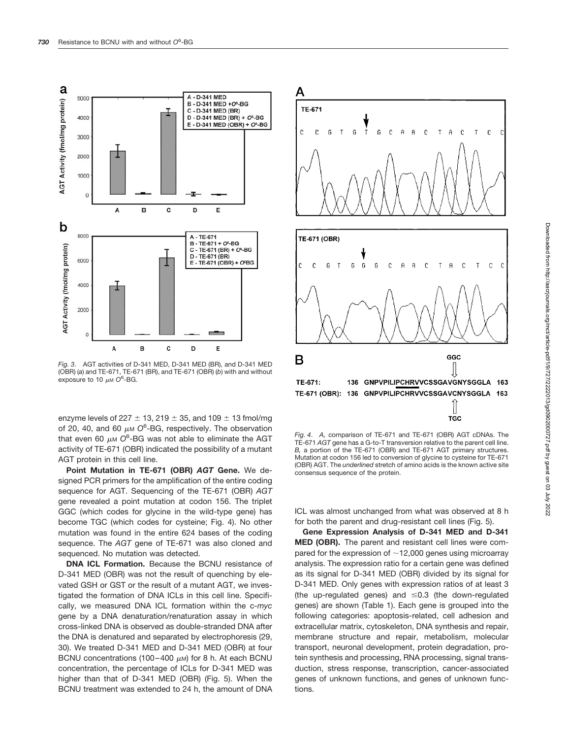

*Fig. 3*. AGT activities of D-341 MED, D-341 MED (BR), and D-341 MED (OBR) (*a*) and TE-671, TE-671 (BR), and TE-671 (OBR) (*b*) with and without exposure to 10  $\mu$ <sub>M</sub> O<sup>6</sup>-BG.

enzyme levels of 227  $\pm$  13, 219  $\pm$  35, and 109  $\pm$  13 fmol/mg of 20, 40, and 60  $\mu$ <sub>M</sub> O<sup>6</sup>-BG, respectively. The observation that even 60  $\mu$ м O<sup>6</sup>-BG was not able to eliminate the AGT activity of TE-671 (OBR) indicated the possibility of a mutant AGT protein in this cell line.

**Point Mutation in TE-671 (OBR)** *AGT* **Gene.** We designed PCR primers for the amplification of the entire coding sequence for AGT. Sequencing of the TE-671 (OBR) *AGT* gene revealed a point mutation at codon 156. The triplet GGC (which codes for glycine in the wild-type gene) has become TGC (which codes for cysteine; Fig. 4). No other mutation was found in the entire 624 bases of the coding sequence. The *AGT* gene of TE-671 was also cloned and sequenced. No mutation was detected.

**DNA ICL Formation.** Because the BCNU resistance of D-341 MED (OBR) was not the result of quenching by elevated GSH or GST or the result of a mutant AGT, we investigated the formation of DNA ICLs in this cell line. Specifically, we measured DNA ICL formation within the c-*myc* gene by a DNA denaturation/renaturation assay in which cross-linked DNA is observed as double-stranded DNA after the DNA is denatured and separated by electrophoresis (29, 30). We treated D-341 MED and D-341 MED (OBR) at four BCNU concentrations (100–400  $\mu$ M) for 8 h. At each BCNU concentration, the percentage of ICLs for D-341 MED was higher than that of D-341 MED (OBR) (Fig. 5). When the BCNU treatment was extended to 24 h, the amount of DNA



*Fig. 4*. *A,* comparison of TE-671 and TE-671 (OBR) AGT cDNAs. The TE-671 *AGT* gene has a G-to-T transversion relative to the parent cell line. *B,* a portion of the TE-671 (OBR) and TE-671 AGT primary structures. Mutation at codon 156 led to conversion of glycine to cysteine for TE-671 (OBR) AGT. The *underlined* stretch of amino acids is the known active site consensus sequence of the protein.

ICL was almost unchanged from what was observed at 8 h for both the parent and drug-resistant cell lines (Fig. 5).

**Gene Expression Analysis of D-341 MED and D-341 MED (OBR).** The parent and resistant cell lines were compared for the expression of  $\sim$  12,000 genes using microarray analysis. The expression ratio for a certain gene was defined as its signal for D-341 MED (OBR) divided by its signal for D-341 MED. Only genes with expression ratios of at least 3 (the up-regulated genes) and  $\leq 0.3$  (the down-regulated genes) are shown (Table 1). Each gene is grouped into the following categories: apoptosis-related, cell adhesion and extracellular matrix, cytoskeleton, DNA synthesis and repair, membrane structure and repair, metabolism, molecular transport, neuronal development, protein degradation, protein synthesis and processing, RNA processing, signal transduction, stress response, transcription, cancer-associated genes of unknown functions, and genes of unknown functions.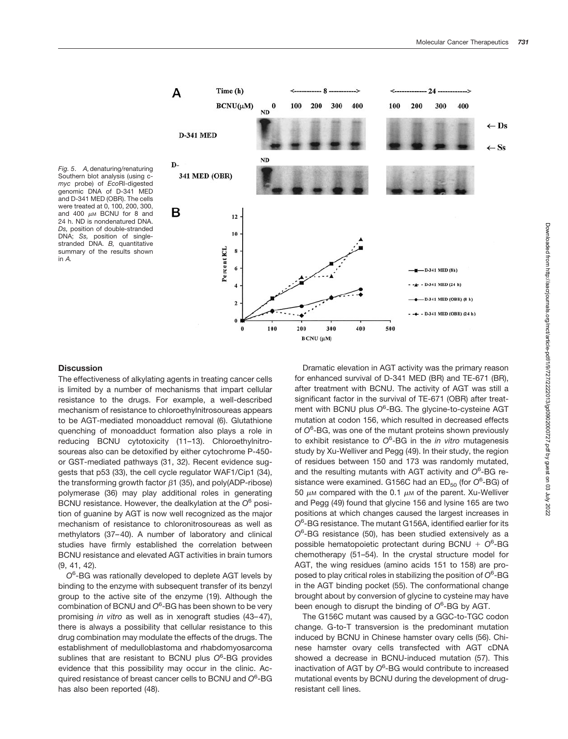400

 $\leftarrow$  Ds

 $\leftarrow$  Ss



Time (h)

 $BCNU(\mu M)$ 

100

 $\bf{0}$ 

100

200

 $BCNU (\mu M)$ 

300

400

200

300

400

100

200

300

-D-341 MED (8h)  $\triangle$  - D-341 MED (24 h)

 $-D-341$  MED (OBR)  $(8 h)$  $-$  - D-341 MED (OBR) (24 h)

А

Southern blot analysis (using c*myc* probe) of *Eco*RI-digested genomic DNA of D-341 MED and D-341 MED (OBR). The cells were treated at 0, 100, 200, 300, and 400  $\mu$ M BCNU for 8 and 24 h. ND is nondenatured DNA. *Ds,* position of double-stranded DNA; *Ss,* position of singlestranded DNA. *B,* quantitative summary of the results shown in *A.*

## **Discussion**

The effectiveness of alkylating agents in treating cancer cells is limited by a number of mechanisms that impart cellular resistance to the drugs. For example, a well-described mechanism of resistance to chloroethylnitrosoureas appears to be AGT-mediated monoadduct removal (6). Glutathione quenching of monoadduct formation also plays a role in reducing BCNU cytotoxicity (11–13). Chloroethylnitrosoureas also can be detoxified by either cytochrome P-450 or GST-mediated pathways (31, 32). Recent evidence suggests that p53 (33), the cell cycle regulator WAF1/Cip1 (34), the transforming growth factor  $\beta$ 1 (35), and poly(ADP-ribose) polymerase (36) may play additional roles in generating BCNU resistance. However, the dealkylation at the *O*<sup>6</sup> position of guanine by AGT is now well recognized as the major mechanism of resistance to chloronitrosoureas as well as methylators (37–40). A number of laboratory and clinical studies have firmly established the correlation between BCNU resistance and elevated AGT activities in brain tumors (9, 41, 42).

*O*6 -BG was rationally developed to deplete AGT levels by binding to the enzyme with subsequent transfer of its benzyl group to the active site of the enzyme (19). Although the combination of BCNU and *O*<sup>6</sup> -BG has been shown to be very promising *in vitro* as well as in xenograft studies (43–47), there is always a possibility that cellular resistance to this drug combination may modulate the effects of the drugs. The establishment of medulloblastoma and rhabdomyosarcoma sublines that are resistant to BCNU plus O<sup>6</sup>-BG provides evidence that this possibility may occur in the clinic. Acquired resistance of breast cancer cells to BCNU and *O*<sup>6</sup> -BG has also been reported (48).

Dramatic elevation in AGT activity was the primary reason for enhanced survival of D-341 MED (BR) and TE-671 (BR), after treatment with BCNU. The activity of AGT was still a significant factor in the survival of TE-671 (OBR) after treatment with BCNU plus O<sup>6</sup>-BG. The glycine-to-cysteine AGT mutation at codon 156, which resulted in decreased effects of *O*<sup>6</sup> -BG, was one of the mutant proteins shown previously to exhibit resistance to *O*<sup>6</sup> -BG in the *in vitro* mutagenesis study by Xu-Welliver and Pegg (49). In their study, the region of residues between 150 and 173 was randomly mutated, and the resulting mutants with AGT activity and *O*<sup>6</sup> -BG resistance were examined. G156C had an ED<sub>50</sub> (for O<sup>6</sup>-BG) of 50  $\mu$ M compared with the 0.1  $\mu$ M of the parent. Xu-Welliver and Pegg (49) found that glycine 156 and lysine 165 are two positions at which changes caused the largest increases in *O*6 -BG resistance. The mutant G156A, identified earlier for its *O*6 -BG resistance (50), has been studied extensively as a possible hematopoietic protectant during BCNU *O*<sup>6</sup> -BG chemotherapy (51–54). In the crystal structure model for AGT, the wing residues (amino acids 151 to 158) are proposed to play critical roles in stabilizing the position of *O*<sup>6</sup> -BG in the AGT binding pocket (55). The conformational change brought about by conversion of glycine to cysteine may have been enough to disrupt the binding of *O*<sup>6</sup> -BG by AGT.

500

The G156C mutant was caused by a GGC-to-TGC codon change. G-to-T transversion is the predominant mutation induced by BCNU in Chinese hamster ovary cells (56). Chinese hamster ovary cells transfected with AGT cDNA showed a decrease in BCNU-induced mutation (57). This inactivation of AGT by *O*<sup>6</sup> -BG would contribute to increased mutational events by BCNU during the development of drugresistant cell lines.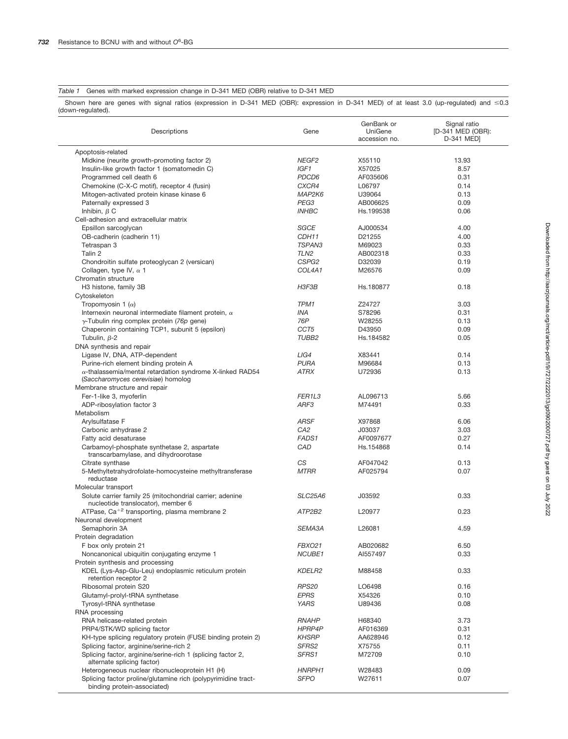## *Table 1* Genes with marked expression change in D-341 MED (OBR) relative to D-341 MED

Shown here are genes with signal ratios (expression in D-341 MED (OBR): expression in D-341 MED) of at least 3.0 (up-regulated) and  $\leq 0.3$ (down-regulated).

| Descriptions                                                                                 | Gene              | GenBank or<br>UniGene<br>accession no. | Signal ratio<br>[D-341 MED (OBR):<br>D-341 MED] |
|----------------------------------------------------------------------------------------------|-------------------|----------------------------------------|-------------------------------------------------|
| Apoptosis-related                                                                            |                   |                                        |                                                 |
| Midkine (neurite growth-promoting factor 2)                                                  | NEGF <sub>2</sub> | X55110                                 | 13.93                                           |
| Insulin-like growth factor 1 (somatomedin C)                                                 | IGF1              | X57025                                 | 8.57                                            |
| Programmed cell death 6                                                                      | PDCD6             | AF035606                               | 0.31                                            |
| Chemokine (C-X-C motif), receptor 4 (fusin)                                                  | CXCR4             | L06797                                 | 0.14                                            |
| Mitogen-activated protein kinase kinase 6                                                    | MAP2K6            | U39064                                 | 0.13                                            |
| Paternally expressed 3                                                                       | PEG3              | AB006625                               | 0.09                                            |
| Inhibin, $\beta$ C                                                                           | <b>INHBC</b>      | Hs.199538                              | 0.06                                            |
| Cell-adhesion and extracellular matrix                                                       |                   |                                        |                                                 |
| Epsillon sarcoglycan                                                                         | SGCE              | AJ000534                               | 4.00                                            |
| OB-cadherin (cadherin 11)                                                                    | CDH11             | D21255                                 | 4.00                                            |
| Tetraspan 3                                                                                  | TSPAN3            | M69023                                 | 0.33                                            |
| Talin 2                                                                                      | TLN <sub>2</sub>  | AB002318                               | 0.33                                            |
| Chondroitin sulfate proteoglycan 2 (versican)                                                | CSPG2             | D32039                                 | 0.19                                            |
| Collagen, type IV, $\alpha$ 1                                                                | COL4A1            | M26576                                 | 0.09                                            |
| Chromatin structure                                                                          |                   |                                        |                                                 |
| H3 histone, family 3B                                                                        | H3F3B             | Hs.180877                              | 0.18                                            |
| Cytoskeleton                                                                                 |                   |                                        |                                                 |
| Tropomyosin 1 $(\alpha)$                                                                     | TPM1              | Z24727                                 | 3.03                                            |
| Internexin neuronal intermediate filament protein, $\alpha$                                  | INA               | S78296                                 | 0.31                                            |
| $\gamma$ -Tubulin ring complex protein (76p gene)                                            | 76P               | W28255                                 | 0.13                                            |
| Chaperonin containing TCP1, subunit 5 (epsilon)                                              | CCT <sub>5</sub>  | D43950                                 | 0.09                                            |
| Tubulin, $\beta$ -2                                                                          | TUBB2             | Hs.184582                              | 0.05                                            |
| DNA synthesis and repair                                                                     |                   |                                        |                                                 |
| Ligase IV, DNA, ATP-dependent                                                                | LIG4              | X83441                                 | 0.14                                            |
| Purine-rich element binding protein A                                                        | <b>PURA</b>       | M96684                                 | 0.13                                            |
| $\alpha$ -thalassemia/mental retardation syndrome X-linked RAD54                             | <b>ATRX</b>       | U72936                                 | 0.13                                            |
| (Saccharomyces cerevisiae) homolog                                                           |                   |                                        |                                                 |
| Membrane structure and repair                                                                |                   |                                        |                                                 |
| Fer-1-like 3, myoferlin                                                                      | FER1L3            | AL096713                               | 5.66                                            |
| ADP-ribosylation factor 3                                                                    | ARF3              | M74491                                 | 0.33                                            |
| Metabolism                                                                                   |                   |                                        |                                                 |
| Arylsulfatase F                                                                              | <b>ARSF</b>       | X97868                                 | 6.06                                            |
| Carbonic anhydrase 2                                                                         | CA <sub>2</sub>   | J03037                                 | 3.03                                            |
| Fatty acid desaturase                                                                        | FADS <sub>1</sub> | AF0097677                              | 0.27                                            |
| Carbamoyl-phosphate synthetase 2, aspartate                                                  | CAD               | Hs.154868                              | 0.14                                            |
| transcarbamylase, and dihydroorotase                                                         | CS                | AF047042                               | 0.13                                            |
| Citrate synthase<br>5-Methyltetrahydrofolate-homocysteine methyltransferase                  | <b>MTRR</b>       | AF025794                               | 0.07                                            |
| reductase                                                                                    |                   |                                        |                                                 |
| Molecular transport                                                                          |                   |                                        |                                                 |
| Solute carrier family 25 (mitochondrial carrier; adenine                                     | <b>SLC25A6</b>    | J03592                                 | 0.33                                            |
| nucleotide translocator), member 6                                                           |                   |                                        |                                                 |
| ATPase, Ca <sup>+2</sup> transporting, plasma membrane 2                                     | ATP2B2            | L20977                                 | 0.23                                            |
| Neuronal development                                                                         |                   |                                        |                                                 |
| Semaphorin 3A                                                                                | SEMA3A            | L26081                                 | 4.59                                            |
| Protein degradation                                                                          |                   |                                        |                                                 |
| F box only protein 21                                                                        | <b>FBXO21</b>     | AB020682                               | 6.50                                            |
| Noncanonical ubiquitin conjugating enzyme 1                                                  | NCUBE1            | AI557497                               | 0.33                                            |
| Protein synthesis and processing                                                             |                   |                                        |                                                 |
| KDEL (Lys-Asp-Glu-Leu) endoplasmic reticulum protein                                         | KDELR2            | M88458                                 | 0.33                                            |
| retention receptor 2                                                                         |                   |                                        |                                                 |
| Ribosomal protein S20                                                                        | <b>RPS20</b>      | LO6498                                 | 0.16                                            |
| Glutamyl-prolyl-tRNA synthetase                                                              | <b>EPRS</b>       | X54326                                 | 0.10                                            |
| Tyrosyl-tRNA synthetase                                                                      | <b>YARS</b>       | U89436                                 | 0.08                                            |
| RNA processing                                                                               |                   |                                        |                                                 |
| RNA helicase-related protein                                                                 | <b>RNAHP</b>      | H68340                                 | 3.73                                            |
| PRP4/STK/WD splicing factor                                                                  | HPRP4P            | AF016369                               | 0.31                                            |
| KH-type splicing regulatory protein (FUSE binding protein 2)                                 | <b>KHSRP</b>      | AA628946                               | 0.12                                            |
| Splicing factor, arginine/serine-rich 2                                                      | SFRS2             | X75755                                 | 0.11                                            |
| Splicing factor, arginine/serine-rich 1 (splicing factor 2,                                  | SFRS1             | M72709                                 | 0.10                                            |
| alternate splicing factor)                                                                   |                   |                                        |                                                 |
| Heterogeneous nuclear ribonucleoprotein H1 (H)                                               | HNRPH1            | W28483                                 | 0.09                                            |
| Splicing factor proline/glutamine rich (polypyrimidine tract-<br>binding protein-associated) | <b>SFPO</b>       | W27611                                 | 0.07                                            |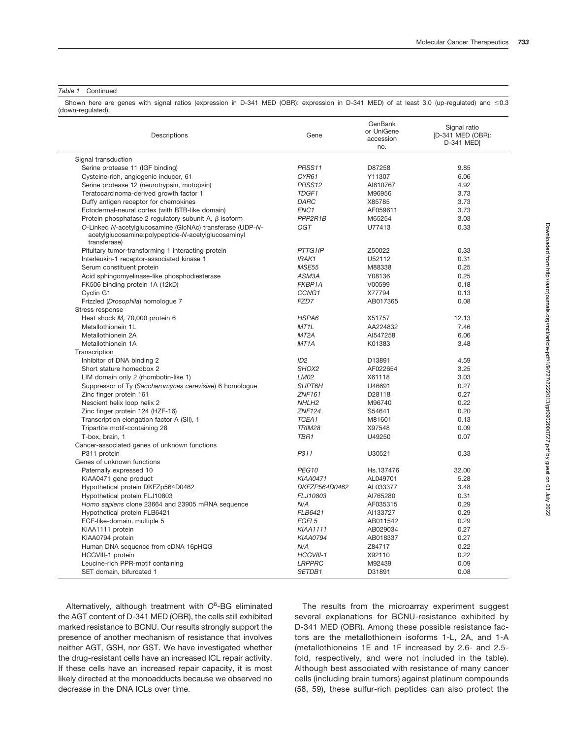#### *Table 1* Continued

Shown here are genes with signal ratios (expression in D-341 MED (OBR): expression in D-341 MED) of at least 3.0 (up-regulated) and  $\leq 0.3$ (down-regulated).

| Descriptions                                                                                                                    | Gene              | GenBank<br>or UniGene<br>accession<br>no. | Signal ratio<br>[D-341 MED (OBR):<br>D-341 MED] |
|---------------------------------------------------------------------------------------------------------------------------------|-------------------|-------------------------------------------|-------------------------------------------------|
| Signal transduction                                                                                                             |                   |                                           |                                                 |
| Serine protease 11 (IGF binding)                                                                                                | PRSS11            | D87258                                    | 9.85                                            |
| Cysteine-rich, angiogenic inducer, 61                                                                                           | CYR61             | Y11307                                    | 6.06                                            |
| Serine protease 12 (neurotrypsin, motopsin)                                                                                     | PRSS12            | AI810767                                  | 4.92                                            |
| Teratocarcinoma-derived growth factor 1                                                                                         | TDGF1             | M96956                                    | 3.73                                            |
| Duffy antigen receptor for chemokines                                                                                           | <b>DARC</b>       | X85785                                    | 3.73                                            |
| Ectodermal-neural cortex (with BTB-like domain)                                                                                 | ENC <sub>1</sub>  | AF059611                                  | 3.73                                            |
| Protein phosphatase 2 requlatory subunit A, $\beta$ isoform                                                                     | PPP2R1B           | M65254                                    | 3.03                                            |
| O-Linked N-acetylglucosamine (GlcNAc) transferase (UDP-N-<br>acetylglucosamine:polypeptide-N-acetylglucosaminyl<br>transferase) | OGT               | U77413                                    | 0.33                                            |
| Pituitary tumor-transforming 1 interacting protein                                                                              | PTTG1IP           | Z50022                                    | 0.33                                            |
| Interleukin-1 receptor-associated kinase 1                                                                                      | IRAK1             | U52112                                    | 0.31                                            |
| Serum constituent protein                                                                                                       | <b>MSE55</b>      | M88338                                    | 0.25                                            |
| Acid sphingomyelinase-like phosphodiesterase                                                                                    | ASM3A             | Y08136                                    | 0.25                                            |
| FK506 binding protein 1A (12kD)                                                                                                 | FKBP1A            | V00599                                    | 0.18                                            |
| Cyclin G1                                                                                                                       | CCNG1             | X77794                                    | 0.13                                            |
| Frizzled (Drosophila) homologue 7                                                                                               | FZD7              | AB017365                                  | 0.08                                            |
| Stress response                                                                                                                 |                   |                                           |                                                 |
| Heat shock M, 70,000 protein 6                                                                                                  | HSPA6             | X51757                                    | 12.13                                           |
| Metallothionein 1L                                                                                                              | MT <sub>1</sub> L | AA224832                                  | 7.46                                            |
| Metallothionein 2A                                                                                                              | MT <sub>2</sub> A | AI547258                                  | 6.06                                            |
| Metallothionein 1A                                                                                                              | MT <sub>1</sub> A | K01383                                    | 3.48                                            |
| Transcription                                                                                                                   |                   |                                           |                                                 |
| Inhibitor of DNA binding 2                                                                                                      | ID <sub>2</sub>   | D13891                                    | 4.59                                            |
| Short stature homeobox 2                                                                                                        | SHOX2             | AF022654                                  | 3.25                                            |
| LIM domain only 2 (rhombotin-like 1)                                                                                            | <b>LM02</b>       | X61118                                    | 3.03                                            |
| Suppressor of Ty (Saccharomyces cerevisiae) 6 homologue                                                                         | SUPT6H            | U46691                                    | 0.27                                            |
| Zinc finger protein 161                                                                                                         | <b>ZNF161</b>     | D28118                                    | 0.27                                            |
| Nescient helix loop helix 2                                                                                                     | NHLH <sub>2</sub> | M96740                                    | 0.22                                            |
| Zinc finger protein 124 (HZF-16)                                                                                                | <b>ZNF124</b>     | S54641                                    | 0.20                                            |
| Transcription elongation factor A (SII), 1                                                                                      | TCEA1             | M81601                                    | 0.13                                            |
| Tripartite motif-containing 28                                                                                                  | <b>TRIM28</b>     | X97548                                    | 0.09                                            |
| T-box, brain, 1                                                                                                                 | TBR1              | U49250                                    | 0.07                                            |
| Cancer-associated genes of unknown functions                                                                                    |                   |                                           |                                                 |
| P311 protein                                                                                                                    | P311              | U30521                                    | 0.33                                            |
| Genes of unknown functions                                                                                                      |                   |                                           |                                                 |
| Paternally expressed 10                                                                                                         | PEG <sub>10</sub> | Hs.137476                                 | 32.00                                           |
| KIAA0471 gene product                                                                                                           | <b>KIAA0471</b>   | AL049701                                  | 5.28                                            |
| Hypothetical protein DKFZp564D0462                                                                                              | DKFZP564D0462     | AL033377                                  | 3.48                                            |
| Hypothetical protein FLJ10803                                                                                                   | FLJ10803          | AI765280                                  | 0.31                                            |
| Homo sapiens clone 23664 and 23905 mRNA sequence                                                                                | N/A               | AF035315                                  | 0.29                                            |
| Hypothetical protein FLB6421                                                                                                    | FLB6421           | AI133727                                  | 0.29                                            |
| EGF-like-domain, multiple 5                                                                                                     | EGFL5             | AB011542                                  | 0.29                                            |
| KIAA1111 protein                                                                                                                | <b>KIAA1111</b>   | AB029034                                  | 0.27                                            |
| KIAA0794 protein                                                                                                                | <b>KIAA0794</b>   | AB018337                                  | 0.27                                            |
| Human DNA sequence from cDNA 16pHQG                                                                                             | N/A               | Z84717                                    | 0.22                                            |
| HCGVIII-1 protein                                                                                                               | HCGVIII-1         | X92110                                    | 0.22                                            |
| Leucine-rich PPR-motif containing                                                                                               | <b>LRPPRC</b>     | M92439                                    | 0.09                                            |
| SET domain, bifurcated 1                                                                                                        | SETDB1            | D31891                                    | 0.08                                            |

Alternatively, although treatment with *O*<sup>6</sup> -BG eliminated the AGT content of D-341 MED (OBR), the cells still exhibited marked resistance to BCNU. Our results strongly support the presence of another mechanism of resistance that involves neither AGT, GSH, nor GST. We have investigated whether the drug-resistant cells have an increased ICL repair activity. If these cells have an increased repair capacity, it is most likely directed at the monoadducts because we observed no decrease in the DNA ICLs over time.

The results from the microarray experiment suggest several explanations for BCNU-resistance exhibited by D-341 MED (OBR). Among these possible resistance factors are the metallothionein isoforms 1-L, 2A, and 1-A (metallothioneins 1E and 1F increased by 2.6- and 2.5 fold, respectively, and were not included in the table). Although best associated with resistance of many cancer cells (including brain tumors) against platinum compounds (58, 59), these sulfur-rich peptides can also protect the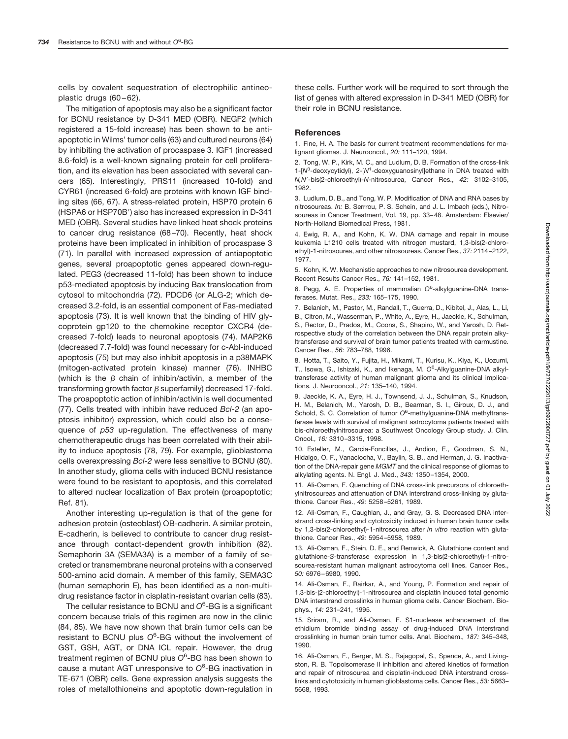cells by covalent sequestration of electrophilic antineoplastic drugs (60-62).

The mitigation of apoptosis may also be a significant factor for BCNU resistance by D-341 MED (OBR). NEGF2 (which registered a 15-fold increase) has been shown to be antiapoptotic in Wilms' tumor cells (63) and cultured neurons (64) by inhibiting the activation of procaspase 3. IGF1 (increased 8.6-fold) is a well-known signaling protein for cell proliferation, and its elevation has been associated with several cancers (65). Interestingly, PRS11 (increased 10-fold) and CYR61 (increased 6-fold) are proteins with known IGF binding sites (66, 67). A stress-related protein, HSP70 protein 6 (HSPA6 or HSP70B') also has increased expression in D-341 MED (OBR). Several studies have linked heat shock proteins to cancer drug resistance (68–70). Recently, heat shock proteins have been implicated in inhibition of procaspase 3 (71). In parallel with increased expression of antiapoptotic genes, several proapoptotic genes appeared down-regulated. PEG3 (decreased 11-fold) has been shown to induce p53-mediated apoptosis by inducing Bax translocation from cytosol to mitochondria (72). PDCD6 (or ALG-2; which decreased 3.2-fold, is an essential component of Fas-mediated apoptosis (73). It is well known that the binding of HIV glycoprotein gp120 to the chemokine receptor CXCR4 (decreased 7-fold) leads to neuronal apoptosis (74). MAP2K6 (decreased 7.7-fold) was found necessary for c-Abl-induced apoptosis (75) but may also inhibit apoptosis in a p38MAPK (mitogen-activated protein kinase) manner (76). INHBC (which is the  $\beta$  chain of inhibin/activin, a member of the transforming growth factor  $\beta$  superfamily) decreased 17-fold. The proapoptotic action of inhibin/activin is well documented (77). Cells treated with inhibin have reduced *Bcl-2* (an apoptosis inhibitor) expression, which could also be a consequence of *p53* up-regulation. The effectiveness of many chemotherapeutic drugs has been correlated with their ability to induce apoptosis (78, 79). For example, glioblastoma cells overexpressing *Bcl-2* were less sensitive to BCNU (80). In another study, glioma cells with induced BCNU resistance were found to be resistant to apoptosis, and this correlated to altered nuclear localization of Bax protein (proapoptotic; Ref. 81).

Another interesting up-regulation is that of the gene for adhesion protein (osteoblast) OB-cadherin. A similar protein, E-cadherin, is believed to contribute to cancer drug resistance through contact-dependent growth inhibition (82). Semaphorin 3A (SEMA3A) is a member of a family of secreted or transmembrane neuronal proteins with a conserved 500-amino acid domain. A member of this family, SEMA3C (human semaphorin E), has been identified as a non-multidrug resistance factor in cisplatin-resistant ovarian cells (83).

The cellular resistance to BCNU and *O*<sup>6</sup> -BG is a significant concern because trials of this regimen are now in the clinic (84, 85). We have now shown that brain tumor cells can be resistant to BCNU plus *O*<sup>6</sup> -BG without the involvement of GST, GSH, AGT, or DNA ICL repair. However, the drug treatment regimen of BCNU plus *O*<sup>6</sup> -BG has been shown to cause a mutant AGT unresponsive to *O*<sup>6</sup> -BG inactivation in TE-671 (OBR) cells. Gene expression analysis suggests the roles of metallothioneins and apoptotic down-regulation in these cells. Further work will be required to sort through the list of genes with altered expression in D-341 MED (OBR) for their role in BCNU resistance.

#### **References**

1. Fine, H. A. The basis for current treatment recommendations for malignant gliomas. J. Neurooncol., *20:* 111–120, 1994.

2. Tong, W. P., Kirk, M. C., and Ludlum, D. B. Formation of the cross-link 1-[N<sup>3</sup>-deoxycytidyl), 2-[N<sup>1</sup>-deoxyguanosinyl]ethane in DNA treated with *N,N*-bis(2-chloroethyl)-*N*-nitrosourea, Cancer Res., *42:* 3102–3105, 1982.

3. Ludlum, D. B., and Tong, W. P. Modification of DNA and RNA bases by nitrosoureas. *In:* B. Serrrou, P. S. Schein, and J. L. Imbach (eds.), Nitrosoureas in Cancer Treatment, Vol. 19, pp. 33–48. Amsterdam: Elsevier/ North-Holland Biomedical Press, 1981.

4. Ewig, R. A., and Kohn, K. W. DNA damage and repair in mouse leukemia L1210 cells treated with nitrogen mustard, 1,3-bis(2-chloroethyl)-1-nitrosourea, and other nitrosoureas. Cancer Res., *37:* 2114–2122, 1977.

5. Kohn, K. W. Mechanistic approaches to new nitrosourea development. Recent Results Cancer Res., *76:* 141–152, 1981.

6. Pegg, A. E. Properties of mammalian *O*<sup>6</sup> -alkylguanine-DNA transferases. Mutat. Res., *233:* 165–175, 1990.

7. Belanich, M., Pastor, M., Randall, T., Guerra, D., Kibitel, J., Alas, L., Li, B., Citron, M., Wasserman, P., White, A., Eyre, H., Jaeckle, K., Schulman, S., Rector, D., Prados, M., Coons, S., Shapiro, W., and Yarosh, D. Retrospective study of the correlation between the DNA repair protein alkyltransferase and survival of brain tumor patients treated with carmustine. Cancer Res., *56:* 783–788, 1996.

8. Hotta, T., Saito, Y., Fujita, H., Mikami, T., Kurisu, K., Kiya, K., Uozumi, T., Isowa, G., Ishizaki, K., and Ikenaga, M. *O*<sup>6</sup> -Alkylguanine-DNA alkyltransferase activity of human malignant glioma and its clinical implications. J. Neurooncol., *21:* 135–140, 1994.

9. Jaeckle, K. A., Eyre, H. J., Townsend, J. J., Schulman, S., Knudson, H. M., Belanich, M., Yarosh, D. B., Bearman, S. I., Giroux, D. J., and Schold, S. C. Correlation of tumor O<sup>6</sup>-methylguanine-DNA methyltransferase levels with survival of malignant astrocytoma patients treated with bis-chloroethylnitrosourea: a Southwest Oncology Group study. J. Clin. Oncol., *16:* 3310–3315, 1998.

10. Esteller, M., Garcia-Foncillas, J., Andion, E., Goodman, S. N., Hidalgo, O. F., Vanaclocha, V., Baylin, S. B., and Herman, J. G. Inactivation of the DNA-repair gene *MGMT* and the clinical response of gliomas to alkylating agents. N. Engl. J. Med., *343:* 1350–1354, 2000.

11. Ali-Osman, F. Quenching of DNA cross-link precursors of chloroethylnitrosoureas and attenuation of DNA interstrand cross-linking by glutathione. Cancer Res., *49:* 5258–5261, 1989.

12. Ali-Osman, F., Caughlan, J., and Gray, G. S. Decreased DNA interstrand cross-linking and cytotoxicity induced in human brain tumor cells by 1,3-bis(2-chloroethyl)-1-nitrosourea after *in vitro* reaction with glutathione. Cancer Res., *49:* 5954–5958, 1989.

13. Ali-Osman, F., Stein, D. E., and Renwick, A. Glutathione content and glutathione-*S*-transferase expression in 1,3-bis(2-chloroethyl)-1-nitrosourea-resistant human malignant astrocytoma cell lines. Cancer Res., *50:* 6976–6980, 1990.

14. Ali-Osman, F., Rairkar, A., and Young, P. Formation and repair of 1,3-bis-(2-chloroethyl)-1-nitrosourea and cisplatin induced total genomic DNA interstrand crosslinks in human glioma cells. Cancer Biochem. Biophys., *14:* 231–241, 1995.

15. Sriram, R., and Ali-Osman, F. S1-nuclease enhancement of the ethidium bromide binding assay of drug-induced DNA interstrand crosslinking in human brain tumor cells. Anal. Biochem., *187:* 345–348, 1990.

16. Ali-Osman, F., Berger, M. S., Rajagopal, S., Spence, A., and Livingston, R. B. Topoisomerase II inhibition and altered kinetics of formation and repair of nitrosourea and cisplatin-induced DNA interstrand crosslinks and cytotoxicity in human glioblastoma cells. Cancer Res., *53:* 5663– 5668, 1993.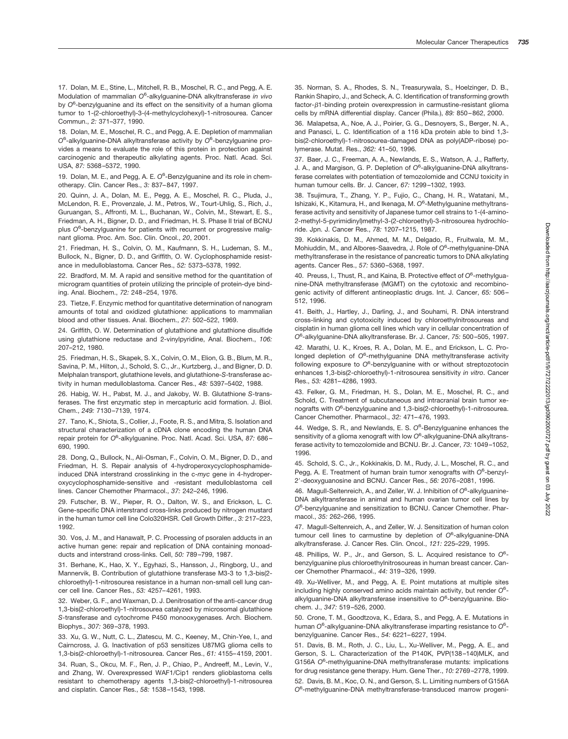17. Dolan, M. E., Stine, L., Mitchell, R. B., Moschel, R. C., and Pegg, A. E. Modulation of mammalian *O*<sup>6</sup> -alkylguanine-DNA alkyltransferase *in vivo* by O<sup>6</sup>-benzylguanine and its effect on the sensitivity of a human glioma tumor to 1-(2-chloroethyl)-3-(4-methylcyclohexyl)-1-nitrosourea. Cancer Commun., *2:* 371–377, 1990.

18. Dolan, M. E., Moschel, R. C., and Pegg, A. E. Depletion of mammalian *O*6 -alkylguanine-DNA alkyltransferase activity by *O*<sup>6</sup> -benzylguanine provides a means to evaluate the role of this protein in protection against carcinogenic and therapeutic alkylating agents. Proc. Natl. Acad. Sci. USA, *87:* 5368–5372, 1990.

19. Dolan, M. E., and Pegg, A. E. O<sup>6</sup>-Benzylguanine and its role in chemotherapy. Clin. Cancer Res., *3:* 837–847, 1997.

20. Quinn, J. A., Dolan, M. E., Pegg, A. E., Moschel, R. C., Pluda, J., McLendon, R. E., Provenzale, J. M., Petros, W., Tourt-Uhlig, S., Rich, J., Guruangan, S., Affronti, M. L., Buchanan, W., Colvin, M., Stewart, E. S., Friedman, A. H., Bigner, D. D., and Friedman, H. S. Phase II trial of BCNU plus *O*<sup>6</sup> -benzylguanine for patients with recurrent or progressive malignant glioma. Proc. Am. Soc. Clin. Oncol., *20*, 2001.

21. Friedman, H. S., Colvin, O. M., Kaufmann, S. H., Ludeman, S. M., Bullock, N., Bigner, D. D., and Griffith, O. W. Cyclophosphamide resistance in medulloblastoma. Cancer Res., *52:* 5373–5378, 1992.

22. Bradford, M. M. A rapid and sensitive method for the quantitation of microgram quantities of protein utilizing the principle of protein-dye binding. Anal. Biochem., *72:* 248–254, 1976.

23. Tietze, F. Enzymic method for quantitative determination of nanogram amounts of total and oxidized glutathione: applications to mammalian blood and other tissues. Anal. Biochem., *27:* 502–522, 1969.

24. Griffith, O. W. Determination of glutathione and glutathione disulfide using glutathione reductase and 2-vinylpyridine, Anal. Biochem., *106:* 207–212, 1980.

25. Friedman, H. S., Skapek, S. X., Colvin, O. M., Elion, G. B., Blum, M. R., Savina, P. M., Hilton, J., Schold, S. C., Jr., Kurtzberg, J., and Bigner, D. D. Melphalan transport, glutathione levels, and glutathione-*S*-transferase activity in human medulloblastoma. Cancer Res., *48:* 5397–5402, 1988.

26. Habig, W. H., Pabst, M. J., and Jakoby, W. B. Glutathione *S*-transferases. The first enzymatic step in mercapturic acid formation. J. Biol. Chem., *249:* 7130–7139, 1974.

27. Tano, K., Shiota, S., Collier, J., Foote, R. S., and Mitra, S. Isolation and structural characterization of a cDNA clone encoding the human DNA repair protein for O<sup>6</sup>-alkylguanine. Proc. Natl. Acad. Sci. USA, 87: 686-690, 1990.

28. Dong, Q., Bullock, N., Ali-Osman, F., Colvin, O. M., Bigner, D. D., and Friedman, H. S. Repair analysis of 4-hydroperoxycyclophosphamideinduced DNA interstrand crosslinking in the c-*myc* gene in 4-hydroperoxycyclophosphamide-sensitive and -resistant medulloblastoma cell lines. Cancer Chemother Pharmacol., *37:* 242–246, 1996.

29. Futscher, B. W., Pieper, R. O., Dalton, W. S., and Erickson, L. C. Gene-specific DNA interstrand cross-links produced by nitrogen mustard in the human tumor cell line Colo320HSR. Cell Growth Differ., *3:* 217–223, 1992.

30. Vos, J. M., and Hanawalt, P. C. Processing of psoralen adducts in an active human gene: repair and replication of DNA containing monoadducts and interstrand cross-links. Cell, *50:* 789–799, 1987.

31. Berhane, K., Hao, X. Y., Egyhazi, S., Hansson, J., Ringborg, U., and Mannervik, B. Contribution of glutathione transferase M3-3 to 1,3-bis(2 chloroethyl)-1-nitrosourea resistance in a human non-small cell lung cancer cell line. Cancer Res., *53:* 4257–4261, 1993.

32. Weber, G. F., and Waxman, D. J. Denitrosation of the anti-cancer drug 1,3-bis(2-chloroethyl)-1-nitrosourea catalyzed by microsomal glutathione *S*-transferase and cytochrome P450 monooxygenases. Arch. Biochem. Biophys., *307:* 369–378, 1993.

33. Xu, G. W., Nutt, C. L., Zlatescu, M. C., Keeney, M., Chin-Yee, I., and Cairncross, J. G. Inactivation of p53 sensitizes U87MG glioma cells to 1,3-bis(2-chloroethyl)-1-nitrosourea. Cancer Res., *61:* 4155–4159, 2001.

34. Ruan, S., Okcu, M. F., Ren, J. P., Chiao, P., Andreeff, M., Levin, V., and Zhang, W. Overexpressed WAF1/Cip1 renders glioblastoma cells resistant to chemotherapy agents 1,3-bis(2-chloroethyl)-1-nitrosourea and cisplatin. Cancer Res., *58:* 1538–1543, 1998.

35. Norman, S. A., Rhodes, S. N., Treasurywala, S., Hoelzinger, D. B., Rankin Shapiro, J., and Scheck, A. C. Identification of transforming growth  $factor-\beta$ 1-binding protein overexpression in carmustine-resistant glioma cells by mRNA differential display. Cancer (Phila.), *89:* 850–862, 2000.

36. Malapetsa, A., Noe, A. J., Poirier, G. G., Desnoyers, S., Berger, N. A., and Panasci, L. C. Identification of a 116 kDa protein able to bind 1,3 bis(2-chloroethyl)-1-nitrosourea-damaged DNA as poly(ADP-ribose) polymerase. Mutat. Res., *362:* 41–50, 1996.

37. Baer, J. C., Freeman, A. A., Newlands, E. S., Watson, A. J., Rafferty, J. A., and Margison, G. P. Depletion of *O*<sup>6</sup> -alkylguanine-DNA alkyltransferase correlates with potentiation of temozolomide and CCNU toxicity in human tumour cells. Br. J. Cancer, *67:* 1299–1302, 1993.

38. Tsujimura, T., Zhang, Y. P., Fujio, C., Chang, H. R., Watatani, M., Ishizaki, K., Kitamura, H., and Ikenaga, M. *O*<sup>6</sup> -Methylguanine methyltransferase activity and sensitivity of Japanese tumor cell strains to 1-(4-amino-2-methyl-5-pyrimidinyl)methyl-3-(2-chloroethyl)-3-nitrosourea hydrochloride. Jpn. J. Cancer Res., *78:* 1207–1215, 1987.

39. Kokkinakis, D. M., Ahmed, M. M., Delgado, R., Fruitwala, M. M., Mohiuddin, M., and Albores-Saavedra, J. Role of *O*<sup>6</sup> -methylguanine-DNA methyltransferase in the resistance of pancreatic tumors to DNA alkylating agents. Cancer Res., *57:* 5360–5368, 1997.

40. Preuss, I., Thust, R., and Kaina, B. Protective effect of O<sup>6</sup>-methylguanine-DNA methyltransferase (MGMT) on the cytotoxic and recombinogenic activity of different antineoplastic drugs. Int. J. Cancer, *65:* 506– 512, 1996.

41. Beith, J., Hartley, J., Darling, J., and Souhami, R. DNA interstrand cross-linking and cytotoxicity induced by chloroethylnitrosoureas and cisplatin in human glioma cell lines which vary in cellular concentration of *O*6 -alkylguanine-DNA alkyltransferase. Br. J. Cancer, *75:* 500–505, 1997.

42. Marathi, U. K., Kroes, R. A., Dolan, M. E., and Erickson, L. C. Prolonged depletion of O<sup>6</sup>-methylguanine DNA methyltransferase activity following exposure to *O*<sup>6</sup> -benzylguanine with or without streptozotocin enhances 1,3-bis(2-chloroethyl)-1-nitrosourea sensitivity *in vitro*. Cancer Res., *53:* 4281–4286, 1993.

43. Felker, G. M., Friedman, H. S., Dolan, M. E., Moschel, R. C., and Schold, C. Treatment of subcutaneous and intracranial brain tumor xenografts with *O*<sup>6</sup> -benzylguanine and 1,3-bis(2-chloroethyl)-1-nitrosourea. Cancer Chemother. Pharmacol., *32:* 471–476, 1993.

44. Wedge, S. R., and Newlands, E. S. *O*<sup>6</sup> -Benzylguanine enhances the sensitivity of a glioma xenograft with low *O*<sup>6</sup> -alkylguanine-DNA alkyltransferase activity to temozolomide and BCNU. Br. J. Cancer, *73:* 1049–1052, 1996.

45. Schold, S. C., Jr., Kokkinakis, D. M., Rudy, J. L., Moschel, R. C., and Pegg, A. E. Treatment of human brain tumor xenografts with O<sup>6</sup>-benzyl-2-deoxyguanosine and BCNU. Cancer Res., *56:* 2076–2081, 1996.

46. Magull-Seltenreich, A., and Zeller, W. J. Inhibition of *O*<sup>6</sup> -alkylguanine-DNA alkyltransferase in animal and human ovarian tumor cell lines by *O*6 -benzylguanine and sensitization to BCNU. Cancer Chemother. Pharmacol., *35:* 262–266, 1995.

47. Magull-Seltenreich, A., and Zeller, W. J. Sensitization of human colon tumour cell lines to carmustine by depletion of *O*<sup>6</sup> -alkylguanine-DNA alkyltransferase. J. Cancer Res. Clin. Oncol., *121:* 225–229, 1995.

48. Phillips, W. P., Jr., and Gerson, S. L. Acquired resistance to O<sup>6</sup>benzylguanine plus chloroethylnitrosoureas in human breast cancer. Cancer Chemother Pharmacol., *44:* 319–326, 1999.

49. Xu-Welliver, M., and Pegg, A. E. Point mutations at multiple sites including highly conserved amino acids maintain activity, but render *O*<sup>6</sup> alkylguanine-DNA alkyltransferase insensitive to *O*<sup>6</sup> -benzylguanine. Biochem. J., *347:* 519–526, 2000.

50. Crone, T. M., Goodtzova, K., Edara, S., and Pegg, A. E. Mutations in human O<sup>6</sup>-alkylguanine-DNA alkyltransferase imparting resistance to O<sup>6</sup>benzylguanine. Cancer Res., *54:* 6221–6227, 1994.

51. Davis, B. M., Roth, J. C., Liu, L., Xu-Welliver, M., Pegg, A. E., and Gerson, S. L. Characterization of the P140K, PVP(138–140)MLK, and G156A O<sup>6</sup>-methylguanine-DNA methyltransferase mutants: implications for drug resistance gene therapy. Hum. Gene Ther., *10:* 2769–2778, 1999.

52. Davis, B. M., Koc, O. N., and Gerson, S. L. Limiting numbers of G156A *O*6 -methylguanine-DNA methyltransferase-transduced marrow progeni-